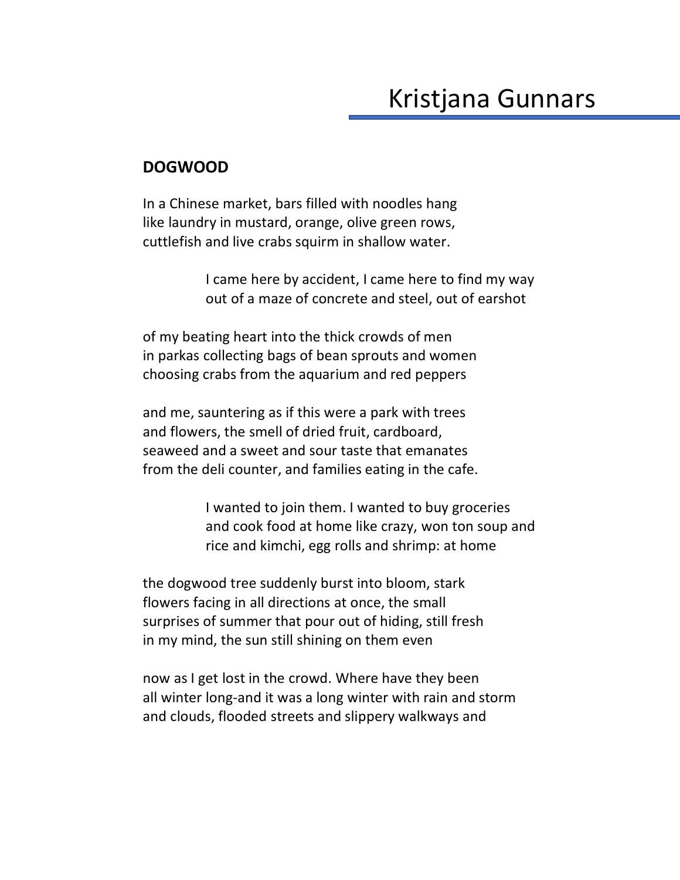## Kristjana Gunnars

## **DOGWOOD**

In a Chinese market, bars filled with noodles hang like laundry in mustard, orange, olive green rows, cuttlefish and live crabs squirm in shallow water.

> I came here by accident, I came here to find my way out of a maze of concrete and steel, out of earshot

of my beating heart into the thick crowds of men in parkas collecting bags of bean sprouts and women choosing crabs from the aquarium and red peppers

and me, sauntering as if this were a park with trees and flowers, the smell of dried fruit, cardboard, seaweed and a sweet and sour taste that emanates from the deli counter, and families eating in the cafe.

> I wanted to join them. I wanted to buy groceries and cook food at home like crazy, won ton soup and rice and kimchi, egg rolls and shrimp: at home

the dogwood tree suddenly burst into bloom, stark flowers facing in all directions at once, the small surprises of summer that pour out of hiding, still fresh in my mind, the sun still shining on them even

now as I get lost in the crowd. Where have they been all winter long-and it was a long winter with rain and storm and clouds, flooded streets and slippery walkways and